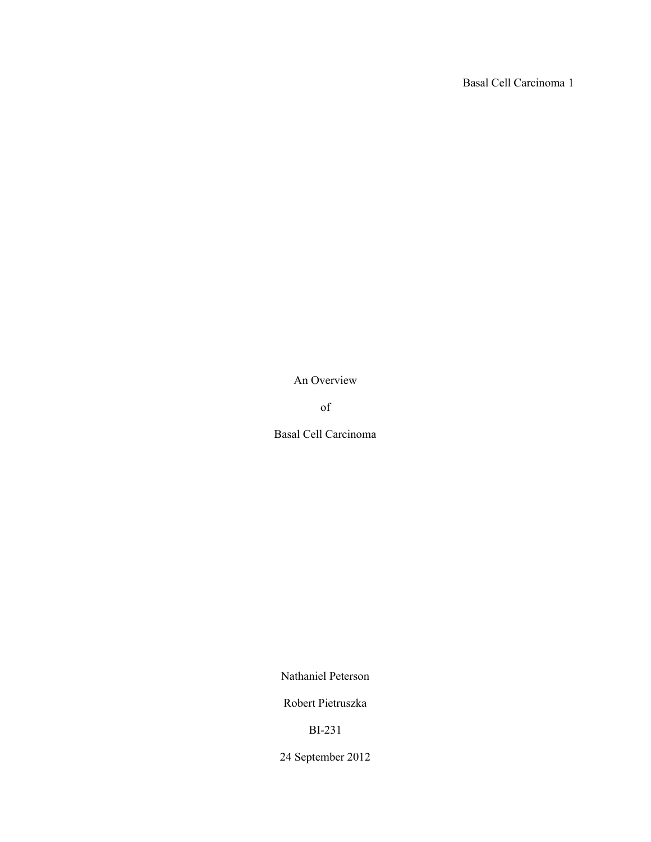Basal Cell Carcinoma 1

An Overview

of

Basal Cell Carcinoma

Nathaniel Peterson

Robert Pietruszka

BI-231

24 September 2012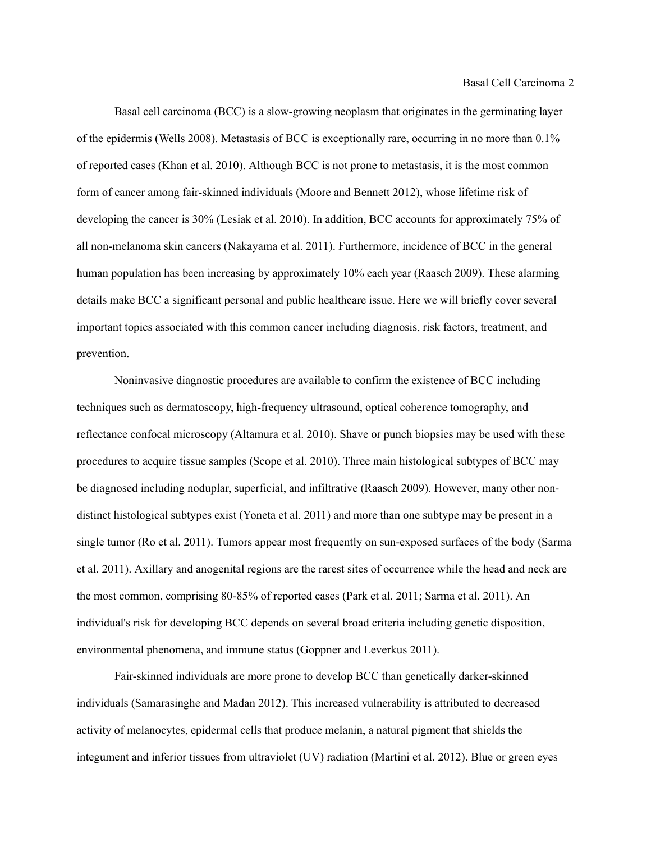Basal cell carcinoma (BCC) is a slow-growing neoplasm that originates in the germinating layer of the epidermis (Wells 2008). Metastasis of BCC is exceptionally rare, occurring in no more than 0.1% of reported cases (Khan et al. 2010). Although BCC is not prone to metastasis, it is the most common form of cancer among fair-skinned individuals (Moore and Bennett 2012), whose lifetime risk of developing the cancer is 30% (Lesiak et al. 2010). In addition, BCC accounts for approximately 75% of all non-melanoma skin cancers (Nakayama et al. 2011). Furthermore, incidence of BCC in the general human population has been increasing by approximately 10% each year (Raasch 2009). These alarming details make BCC a significant personal and public healthcare issue. Here we will briefly cover several important topics associated with this common cancer including diagnosis, risk factors, treatment, and prevention.

Noninvasive diagnostic procedures are available to confirm the existence of BCC including techniques such as dermatoscopy, high-frequency ultrasound, optical coherence tomography, and reflectance confocal microscopy (Altamura et al. 2010). Shave or punch biopsies may be used with these procedures to acquire tissue samples (Scope et al. 2010). Three main histological subtypes of BCC may be diagnosed including noduplar, superficial, and infiltrative (Raasch 2009). However, many other nondistinct histological subtypes exist (Yoneta et al. 2011) and more than one subtype may be present in a single tumor (Ro et al. 2011). Tumors appear most frequently on sun-exposed surfaces of the body (Sarma et al. 2011). Axillary and anogenital regions are the rarest sites of occurrence while the head and neck are the most common, comprising 80-85% of reported cases (Park et al. 2011; Sarma et al. 2011). An individual's risk for developing BCC depends on several broad criteria including genetic disposition, environmental phenomena, and immune status (Goppner and Leverkus 2011).

Fair-skinned individuals are more prone to develop BCC than genetically darker-skinned individuals (Samarasinghe and Madan 2012). This increased vulnerability is attributed to decreased activity of melanocytes, epidermal cells that produce melanin, a natural pigment that shields the integument and inferior tissues from ultraviolet (UV) radiation (Martini et al. 2012). Blue or green eyes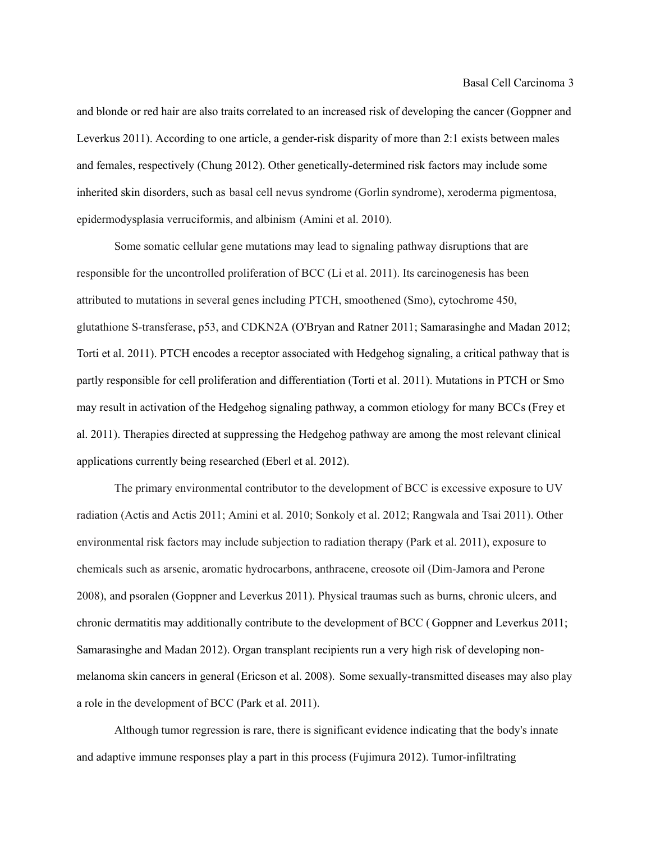and blonde or red hair are also traits correlated to an increased risk of developing the cancer (Goppner and Leverkus 2011). According to one article, a gender-risk disparity of more than 2:1 exists between males and females, respectively (Chung 2012). Other genetically-determined risk factors may include some inherited skin disorders, such as basal cell nevus syndrome (Gorlin syndrome), xeroderma pigmentosa, epidermodysplasia verruciformis, and albinism (Amini et al. 2010).

Some somatic cellular gene mutations may lead to signaling pathway disruptions that are responsible for the uncontrolled proliferation of BCC (Li et al. 2011). Its carcinogenesis has been attributed to mutations in several genes including PTCH, smoothened (Smo), cytochrome 450, glutathione S-transferase, p53, and CDKN2A (O'Bryan and Ratner 2011; Samarasinghe and Madan 2012; Torti et al. 2011). PTCH encodes a receptor associated with Hedgehog signaling, a critical pathway that is partly responsible for cell proliferation and differentiation (Torti et al. 2011). Mutations in PTCH or Smo may result in activation of the Hedgehog signaling pathway, a common etiology for many BCCs (Frey et al. 2011). Therapies directed at suppressing the Hedgehog pathway are among the most relevant clinical applications currently being researched (Eberl et al. 2012).

The primary environmental contributor to the development of BCC is excessive exposure to UV radiation (Actis and Actis 2011; Amini et al. 2010; Sonkoly et al. 2012; Rangwala and Tsai 2011). Other environmental risk factors may include subjection to radiation therapy (Park et al. 2011), exposure to chemicals such as arsenic, aromatic hydrocarbons, anthracene, creosote oil (Dim-Jamora and Perone 2008), and psoralen (Goppner and Leverkus 2011). Physical traumas such as burns, chronic ulcers, and chronic dermatitis may additionally contribute to the development of BCC ( Goppner and Leverkus 2011; Samarasinghe and Madan 2012). Organ transplant recipients run a very high risk of developing nonmelanoma skin cancers in general (Ericson et al. 2008). Some sexually-transmitted diseases may also play a role in the development of BCC (Park et al. 2011).

Although tumor regression is rare, there is significant evidence indicating that the body's innate and adaptive immune responses play a part in this process (Fujimura 2012). Tumor-infiltrating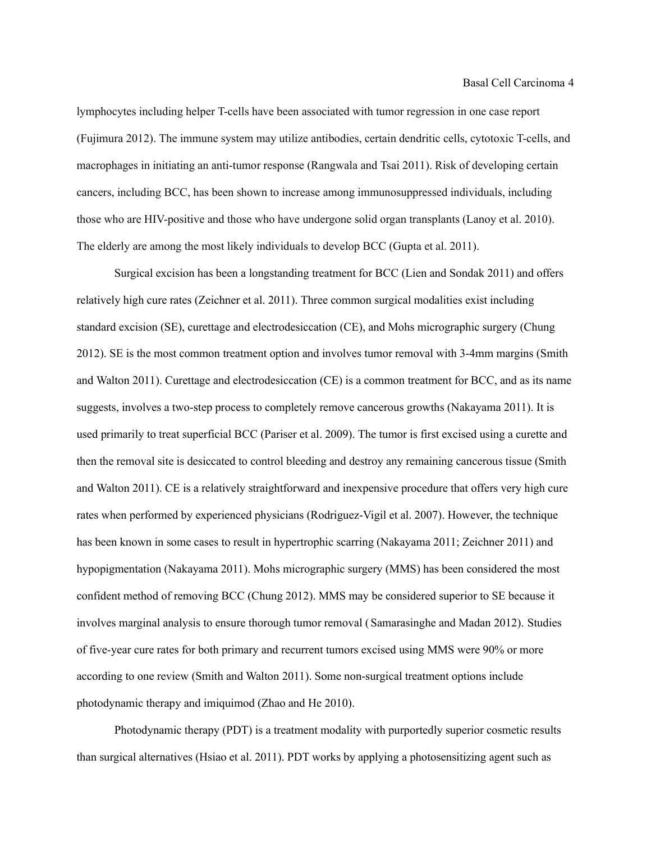lymphocytes including helper T-cells have been associated with tumor regression in one case report (Fujimura 2012). The immune system may utilize antibodies, certain dendritic cells, cytotoxic T-cells, and macrophages in initiating an anti-tumor response (Rangwala and Tsai 2011). Risk of developing certain cancers, including BCC, has been shown to increase among immunosuppressed individuals, including those who are HIV-positive and those who have undergone solid organ transplants (Lanoy et al. 2010). The elderly are among the most likely individuals to develop BCC (Gupta et al. 2011).

Surgical excision has been a longstanding treatment for BCC (Lien and Sondak 2011) and offers relatively high cure rates (Zeichner et al. 2011). Three common surgical modalities exist including standard excision (SE), curettage and electrodesiccation (CE), and Mohs micrographic surgery (Chung 2012). SE is the most common treatment option and involves tumor removal with 3-4mm margins (Smith and Walton 2011). Curettage and electrodesiccation (CE) is a common treatment for BCC, and as its name suggests, involves a two-step process to completely remove cancerous growths (Nakayama 2011). It is used primarily to treat superficial BCC (Pariser et al. 2009). The tumor is first excised using a curette and then the removal site is desiccated to control bleeding and destroy any remaining cancerous tissue (Smith and Walton 2011). CE is a relatively straightforward and inexpensive procedure that offers very high cure rates when performed by experienced physicians (Rodriguez-Vigil et al. 2007). However, the technique has been known in some cases to result in hypertrophic scarring (Nakayama 2011; Zeichner 2011) and hypopigmentation (Nakayama 2011). Mohs micrographic surgery (MMS) has been considered the most confident method of removing BCC (Chung 2012). MMS may be considered superior to SE because it involves marginal analysis to ensure thorough tumor removal (Samarasinghe and Madan 2012). Studies of five-year cure rates for both primary and recurrent tumors excised using MMS were 90% or more according to one review (Smith and Walton 2011). Some non-surgical treatment options include photodynamic therapy and imiquimod (Zhao and He 2010).

Photodynamic therapy (PDT) is a treatment modality with purportedly superior cosmetic results than surgical alternatives (Hsiao et al. 2011). PDT works by applying a photosensitizing agent such as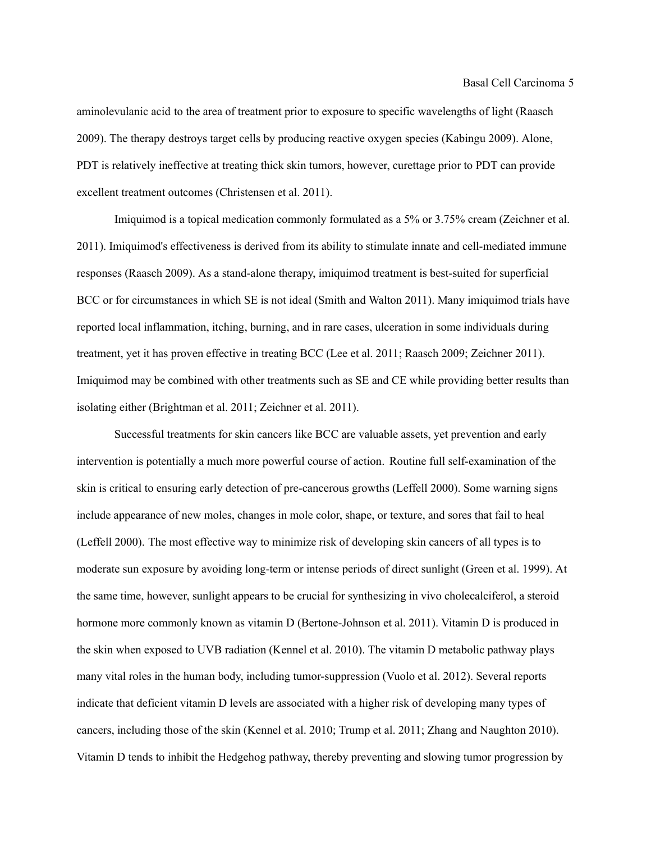aminolevulanic acid to the area of treatment prior to exposure to specific wavelengths of light (Raasch 2009). The therapy destroys target cells by producing reactive oxygen species (Kabingu 2009). Alone, PDT is relatively ineffective at treating thick skin tumors, however, curettage prior to PDT can provide excellent treatment outcomes (Christensen et al. 2011).

Imiquimod is a topical medication commonly formulated as a 5% or 3.75% cream (Zeichner et al. 2011). Imiquimod's effectiveness is derived from its ability to stimulate innate and cell-mediated immune responses (Raasch 2009). As a stand-alone therapy, imiquimod treatment is best-suited for superficial BCC or for circumstances in which SE is not ideal (Smith and Walton 2011). Many imiquimod trials have reported local inflammation, itching, burning, and in rare cases, ulceration in some individuals during treatment, yet it has proven effective in treating BCC (Lee et al. 2011; Raasch 2009; Zeichner 2011). Imiquimod may be combined with other treatments such as SE and CE while providing better results than isolating either (Brightman et al. 2011; Zeichner et al. 2011).

Successful treatments for skin cancers like BCC are valuable assets, yet prevention and early intervention is potentially a much more powerful course of action. Routine full self-examination of the skin is critical to ensuring early detection of pre-cancerous growths (Leffell 2000). Some warning signs include appearance of new moles, changes in mole color, shape, or texture, and sores that fail to heal (Leffell 2000). The most effective way to minimize risk of developing skin cancers of all types is to moderate sun exposure by avoiding long-term or intense periods of direct sunlight (Green et al. 1999). At the same time, however, sunlight appears to be crucial for synthesizing in vivo cholecalciferol, a steroid hormone more commonly known as vitamin D (Bertone-Johnson et al. 2011). Vitamin D is produced in the skin when exposed to UVB radiation (Kennel et al. 2010). The vitamin D metabolic pathway plays many vital roles in the human body, including tumor-suppression (Vuolo et al. 2012). Several reports indicate that deficient vitamin D levels are associated with a higher risk of developing many types of cancers, including those of the skin (Kennel et al. 2010; Trump et al. 2011; Zhang and Naughton 2010). Vitamin D tends to inhibit the Hedgehog pathway, thereby preventing and slowing tumor progression by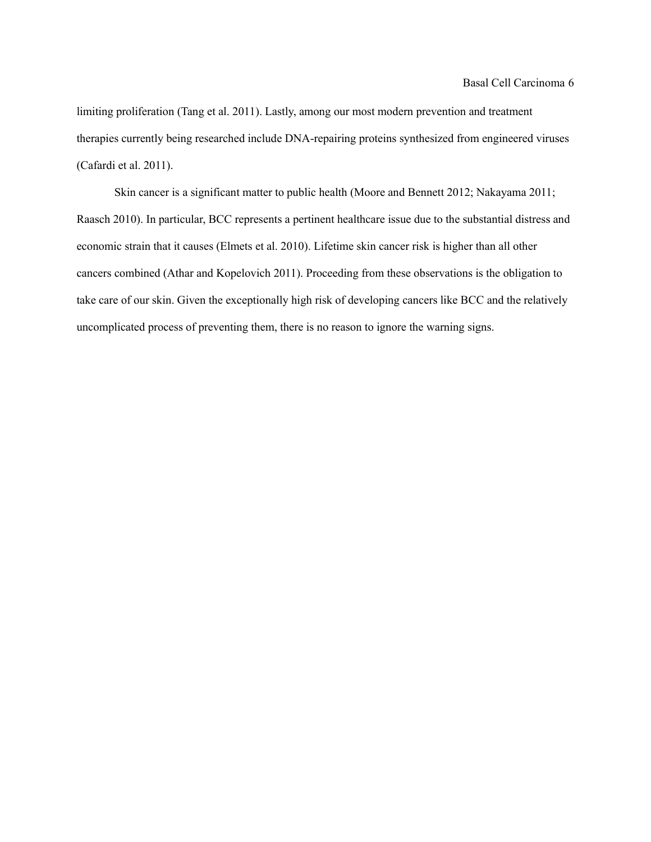limiting proliferation (Tang et al. 2011). Lastly, among our most modern prevention and treatment therapies currently being researched include DNA-repairing proteins synthesized from engineered viruses (Cafardi et al. 2011).

Skin cancer is a significant matter to public health (Moore and Bennett 2012; Nakayama 2011; Raasch 2010). In particular, BCC represents a pertinent healthcare issue due to the substantial distress and economic strain that it causes (Elmets et al. 2010). Lifetime skin cancer risk is higher than all other cancers combined (Athar and Kopelovich 2011). Proceeding from these observations is the obligation to take care of our skin. Given the exceptionally high risk of developing cancers like BCC and the relatively uncomplicated process of preventing them, there is no reason to ignore the warning signs.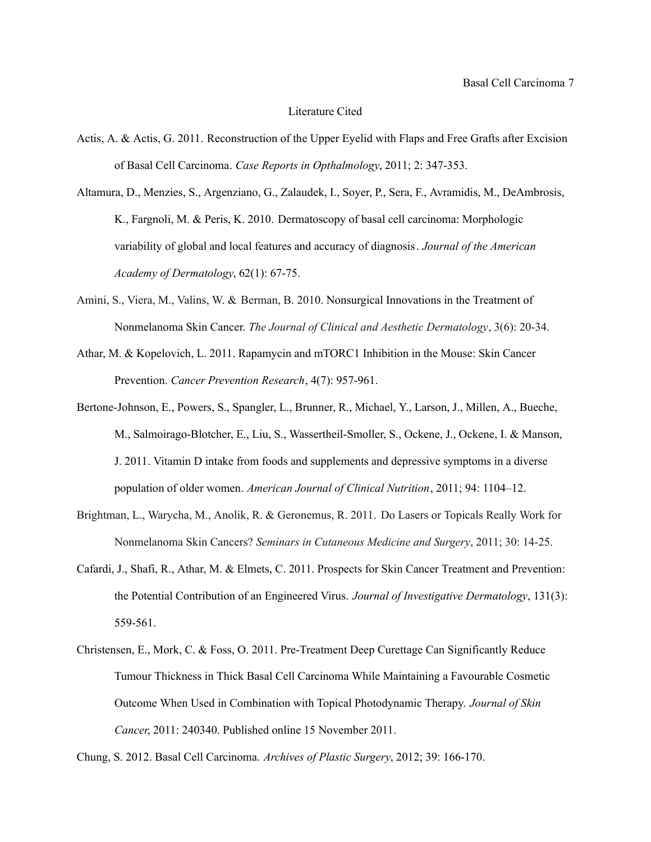## Literature Cited

Actis, A. & Actis, G. 2011. Reconstruction of the Upper Eyelid with Flaps and Free Grafts after Excision of Basal Cell Carcinoma. *Case Reports in Opthalmology*, 2011; 2: 347-353.

Altamura, D., Menzies, S., Argenziano, G., Zalaudek, I., Soyer, P., Sera, F., Avramidis, M., DeAmbrosis, K., Fargnoli, M. & Peris, K. 2010. Dermatoscopy of basal cell carcinoma: Morphologic variability of global and local features and accuracy of diagnosis. *Journal of the American Academy of Dermatology*, 62(1): 67-75.

- Amini, S., Viera, M., Valins, W. & Berman, B. 2010. Nonsurgical Innovations in the Treatment of Nonmelanoma Skin Cancer. *The Journal of Clinical and Aesthetic Dermatology*, 3(6): 20-34.
- Athar, M. & Kopelovich, L. 2011. Rapamycin and mTORC1 Inhibition in the Mouse: Skin Cancer Prevention. *Cancer Prevention Research*, 4(7): 957-961.
- Bertone-Johnson, E., Powers, S., Spangler, L., Brunner, R., Michael, Y., Larson, J., Millen, A., Bueche, M., Salmoirago-Blotcher, E., Liu, S., Wassertheil-Smoller, S., Ockene, J., Ockene, I. & Manson, J. 2011. Vitamin D intake from foods and supplements and depressive symptoms in a diverse population of older women. *American Journal of Clinical Nutrition*, 2011; 94: 1104–12.
- Brightman, L., Warycha, M., Anolik, R. & Geronemus, R. 2011. Do Lasers or Topicals Really Work for Nonmelanoma Skin Cancers? *Seminars in Cutaneous Medicine and Surgery*, 2011; 30: 14-25.
- Cafardi, J., Shafi, R., Athar, M. & Elmets, C. 2011. Prospects for Skin Cancer Treatment and Prevention: the Potential Contribution of an Engineered Virus. *Journal of Investigative Dermatology*, 131(3): 559-561.
- Christensen, E., Mork, C. & Foss, O. 2011. Pre-Treatment Deep Curettage Can Significantly Reduce Tumour Thickness in Thick Basal Cell Carcinoma While Maintaining a Favourable Cosmetic Outcome When Used in Combination with Topical Photodynamic Therapy. *Journal of Skin Cancer*, 2011: 240340. Published online 15 November 2011.

Chung, S. 2012. Basal Cell Carcinoma. *Archives of Plastic Surgery*, 2012; 39: 166-170.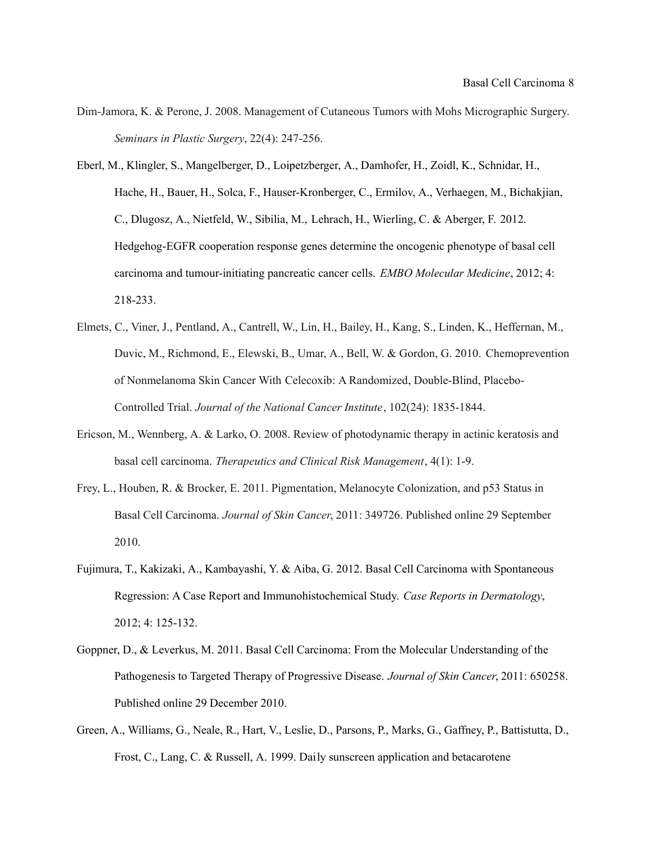- Dim-Jamora, K. & Perone, J. 2008. Management of Cutaneous Tumors with Mohs Micrographic Surgery. *Seminars in Plastic Surgery*, 22(4): 247-256.
- Eberl, M., Klingler, S., Mangelberger, D., Loipetzberger, A., Damhofer, H., Zoidl, K., Schnidar, H., Hache, H., Bauer, H., Solca, F., Hauser-Kronberger, C., Ermilov, A., Verhaegen, M., Bichakjian, C., Dlugosz, A., Nietfeld, W., Sibilia, M., Lehrach, H., Wierling, C. & Aberger, F. 2012. Hedgehog-EGFR cooperation response genes determine the oncogenic phenotype of basal cell carcinoma and tumour-initiating pancreatic cancer cells. *EMBO Molecular Medicine*, 2012; 4: 218-233.
- Elmets, C., Viner, J., Pentland, A., Cantrell, W., Lin, H., Bailey, H., Kang, S., Linden, K., Heffernan, M., Duvic, M., Richmond, E., Elewski, B., Umar, A., Bell, W. & Gordon, G. 2010. Chemoprevention of Nonmelanoma Skin Cancer With Celecoxib: A Randomized, Double-Blind, Placebo-Controlled Trial. *Journal of the National Cancer Institute*, 102(24): 1835-1844.
- Ericson, M., Wennberg, A. & Larko, O. 2008. Review of photodynamic therapy in actinic keratosis and basal cell carcinoma. *Therapeutics and Clinical Risk Management*, 4(1): 1-9.
- Frey, L., Houben, R. & Brocker, E. 2011. Pigmentation, Melanocyte Colonization, and p53 Status in Basal Cell Carcinoma. *Journal of Skin Cancer*, 2011: 349726. Published online 29 September 2010.
- Fujimura, T., Kakizaki, A., Kambayashi, Y. & Aiba, G. 2012. Basal Cell Carcinoma with Spontaneous Regression: A Case Report and Immunohistochemical Study. *Case Reports in Dermatology*, 2012; 4: 125-132.
- Goppner, D., & Leverkus, M. 2011. Basal Cell Carcinoma: From the Molecular Understanding of the Pathogenesis to Targeted Therapy of Progressive Disease. *Journal of Skin Cancer*, 2011: 650258. Published online 29 December 2010.
- Green, A., Williams, G., Neale, R., Hart, V., Leslie, D., Parsons, P., Marks, G., Gaffney, P., Battistutta, D., Frost, C., Lang, C. & Russell, A. 1999. Daily sunscreen application and betacarotene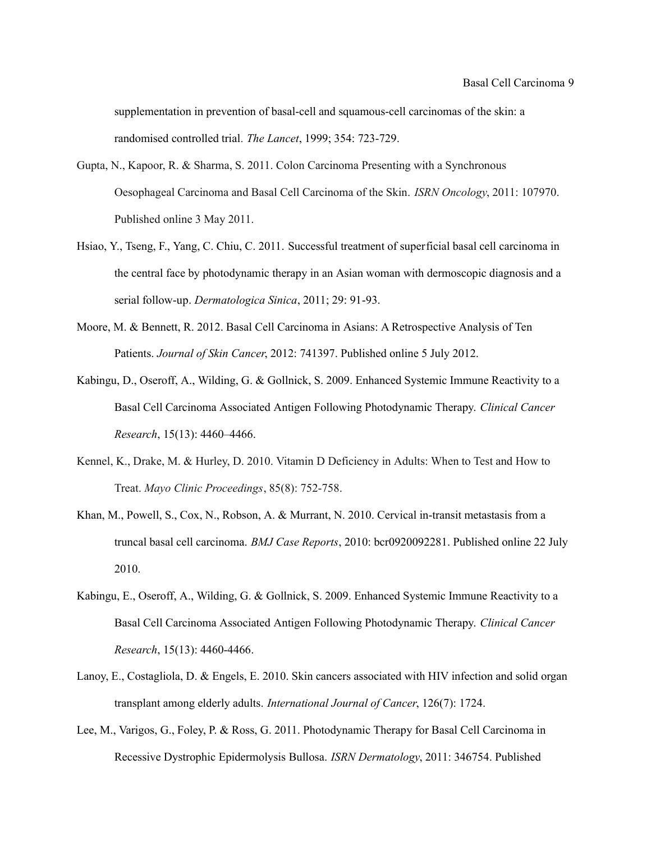supplementation in prevention of basal-cell and squamous-cell carcinomas of the skin: a randomised controlled trial*. The Lancet*, 1999; 354: 723-729.

- Gupta, N., Kapoor, R. & Sharma, S. 2011. Colon Carcinoma Presenting with a Synchronous Oesophageal Carcinoma and Basal Cell Carcinoma of the Skin. *ISRN Oncology*, 2011: 107970. Published online 3 May 2011.
- Hsiao, Y., Tseng, F., Yang, C. Chiu, C. 2011. Successful treatment of superficial basal cell carcinoma in the central face by photodynamic therapy in an Asian woman with dermoscopic diagnosis and a serial follow-up. *Dermatologica Sinica*, 2011; 29: 91-93.
- Moore, M. & Bennett, R. 2012. Basal Cell Carcinoma in Asians: A Retrospective Analysis of Ten Patients. *Journal of Skin Cancer*, 2012: 741397. Published online 5 July 2012.
- Kabingu, D., Oseroff, A., Wilding, G. & Gollnick, S. 2009. Enhanced Systemic Immune Reactivity to a Basal Cell Carcinoma Associated Antigen Following Photodynamic Therapy. *Clinical Cancer Research*, 15(13): 4460–4466.
- Kennel, K., Drake, M. & Hurley, D. 2010. Vitamin D Deficiency in Adults: When to Test and How to Treat. *Mayo Clinic Proceedings*, 85(8): 752-758.
- Khan, M., Powell, S., Cox, N., Robson, A. & Murrant, N. 2010. Cervical in-transit metastasis from a truncal basal cell carcinoma. *BMJ Case Reports*, 2010: bcr0920092281. Published online 22 July 2010.
- Kabingu, E., Oseroff, A., Wilding, G. & Gollnick, S. 2009. Enhanced Systemic Immune Reactivity to a Basal Cell Carcinoma Associated Antigen Following Photodynamic Therapy. *Clinical Cancer Research*, 15(13): 4460-4466.
- Lanoy, E., Costagliola, D. & Engels, E. 2010. Skin cancers associated with HIV infection and solid organ transplant among elderly adults. *International Journal of Cancer*, 126(7): 1724.
- Lee, M., Varigos, G., Foley, P. & Ross, G. 2011. Photodynamic Therapy for Basal Cell Carcinoma in Recessive Dystrophic Epidermolysis Bullosa. *ISRN Dermatology*, 2011: 346754. Published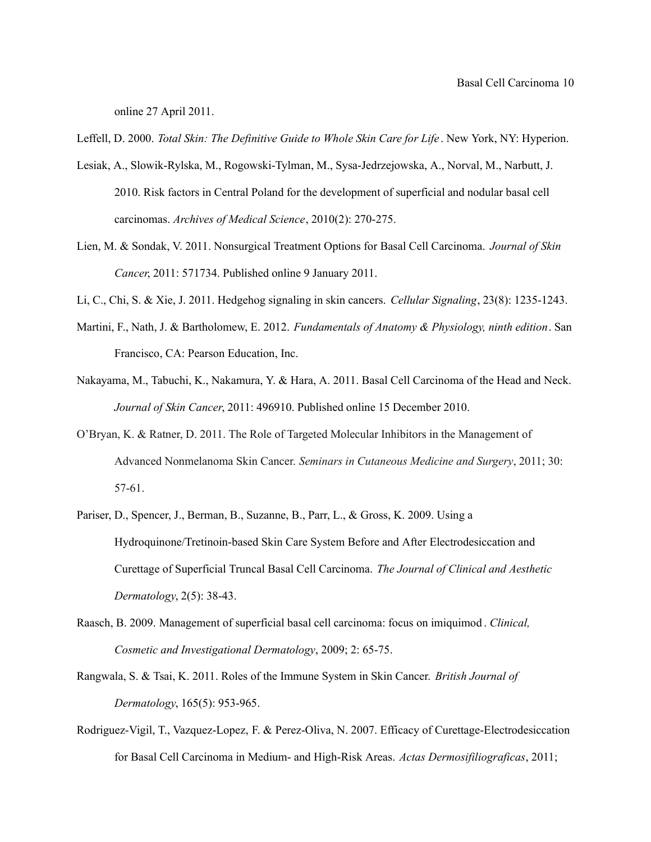online 27 April 2011.

Leffell, D. 2000. *Total Skin: The Definitive Guide to Whole Skin Care for Life* . New York, NY: Hyperion.

- Lesiak, A., Slowik-Rylska, M., Rogowski-Tylman, M., Sysa-Jedrzejowska, A., Norval, M., Narbutt, J. 2010. Risk factors in Central Poland for the development of superficial and nodular basal cell carcinomas. *Archives of Medical Science*, 2010(2): 270-275.
- Lien, M. & Sondak, V. 2011. Nonsurgical Treatment Options for Basal Cell Carcinoma. *Journal of Skin Cancer*, 2011: 571734. Published online 9 January 2011.
- Li, C., Chi, S. & Xie, J. 2011. Hedgehog signaling in skin cancers. *Cellular Signaling*, 23(8): 1235-1243.
- Martini, F., Nath, J. & Bartholomew, E. 2012. *Fundamentals of Anatomy & Physiology, ninth edition*. San Francisco, CA: Pearson Education, Inc.
- Nakayama, M., Tabuchi, K., Nakamura, Y. & Hara, A. 2011. Basal Cell Carcinoma of the Head and Neck. *Journal of Skin Cancer*, 2011: 496910. Published online 15 December 2010.
- O'Bryan, K. & Ratner, D. 2011. The Role of Targeted Molecular Inhibitors in the Management of Advanced Nonmelanoma Skin Cancer. *Seminars in Cutaneous Medicine and Surgery*, 2011; 30: 57-61.
- Pariser, D., Spencer, J., Berman, B., Suzanne, B., Parr, L., & Gross, K. 2009. Using a Hydroquinone/Tretinoin-based Skin Care System Before and After Electrodesiccation and Curettage of Superficial Truncal Basal Cell Carcinoma. *The Journal of Clinical and Aesthetic Dermatology*, 2(5): 38-43.
- Raasch, B. 2009. Management of superficial basal cell carcinoma: focus on imiquimod . *Clinical, Cosmetic and Investigational Dermatology*, 2009; 2: 65-75.
- Rangwala, S. & Tsai, K. 2011. Roles of the Immune System in Skin Cancer. *British Journal of Dermatology*, 165(5): 953-965.
- Rodriguez-Vigil, T., Vazquez-Lopez, F. & Perez-Oliva, N. 2007. Efficacy of Curettage-Electrodesiccation for Basal Cell Carcinoma in Medium- and High-Risk Areas. *Actas Dermosifiliograficas*, 2011;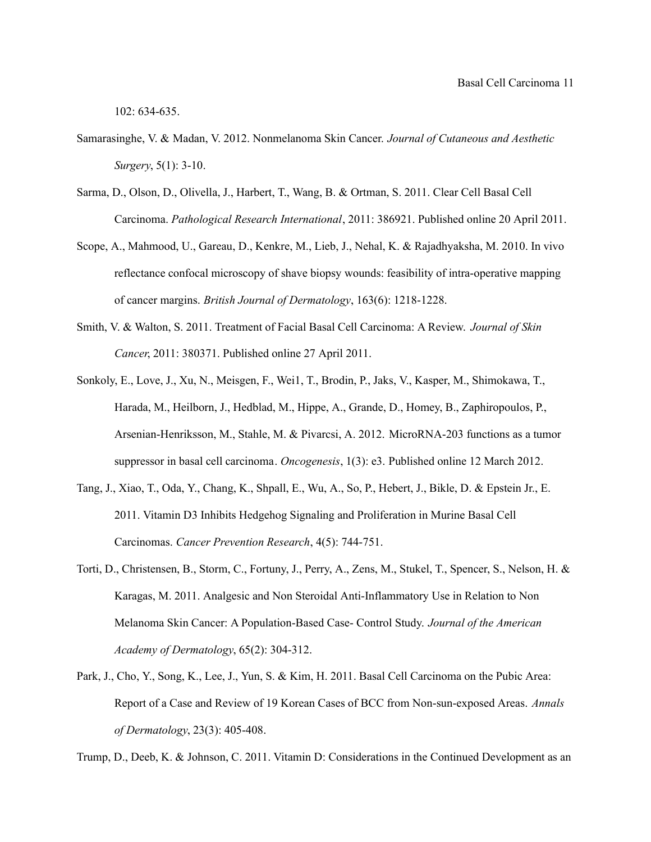102: 634-635.

- Samarasinghe, V. & Madan, V. 2012. Nonmelanoma Skin Cancer. *Journal of Cutaneous and Aesthetic Surgery*, 5(1): 3-10.
- Sarma, D., Olson, D., Olivella, J., Harbert, T., Wang, B. & Ortman, S. 2011. Clear Cell Basal Cell Carcinoma. *Pathological Research International*, 2011: 386921. Published online 20 April 2011.
- Scope, A., Mahmood, U., Gareau, D., Kenkre, M., Lieb, J., Nehal, K. & Rajadhyaksha, M. 2010. In vivo reflectance confocal microscopy of shave biopsy wounds: feasibility of intra-operative mapping of cancer margins. *British Journal of Dermatology*, 163(6): 1218-1228.
- Smith, V. & Walton, S. 2011. Treatment of Facial Basal Cell Carcinoma: A Review. *Journal of Skin Cancer*, 2011: 380371. Published online 27 April 2011.
- Sonkoly, E., Love, J., Xu, N., Meisgen, F., Wei1, T., Brodin, P., Jaks, V., Kasper, M., Shimokawa, T., Harada, M., Heilborn, J., Hedblad, M., Hippe, A., Grande, D., Homey, B., Zaphiropoulos, P., Arsenian-Henriksson, M., Stahle, M. & Pivarcsi, A. 2012. MicroRNA-203 functions as a tumor suppressor in basal cell carcinoma. *Oncogenesis*, 1(3): e3. Published online 12 March 2012.
- Tang, J., Xiao, T., Oda, Y., Chang, K., Shpall, E., Wu, A., So, P., Hebert, J., Bikle, D. & Epstein Jr., E. 2011. Vitamin D3 Inhibits Hedgehog Signaling and Proliferation in Murine Basal Cell Carcinomas. *Cancer Prevention Research*, 4(5): 744-751.
- Torti, D., Christensen, B., Storm, C., Fortuny, J., Perry, A., Zens, M., Stukel, T., Spencer, S., Nelson, H. & Karagas, M. 2011. Analgesic and Non Steroidal Anti-Inflammatory Use in Relation to Non Melanoma Skin Cancer: A Population-Based Case- Control Study. *Journal of the American Academy of Dermatology*, 65(2): 304-312.
- Park, J., Cho, Y., Song, K., Lee, J., Yun, S. & Kim, H. 2011. Basal Cell Carcinoma on the Pubic Area: Report of a Case and Review of 19 Korean Cases of BCC from Non-sun-exposed Areas. *Annals of Dermatology*, 23(3): 405-408.

Trump, D., Deeb, K. & Johnson, C. 2011. Vitamin D: Considerations in the Continued Development as an